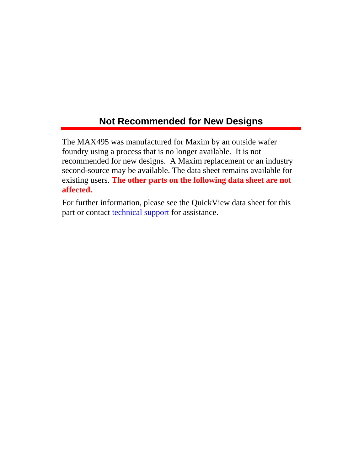## **Not Recommended for New Designs**

The MAX495 was manufactured for Maxim by an outside wafer foundry using a process that is no longer available. It is not recommended for new designs. A Maxim replacement or an industry second-source may be available. The data sheet remains available for existing users. **The other parts on the following data sheet are not affected.**

For further information, please see the QuickView data sheet for this part or contact [technical support](http://www.maxim-ic.com/support/request/new.mvp) for assistance.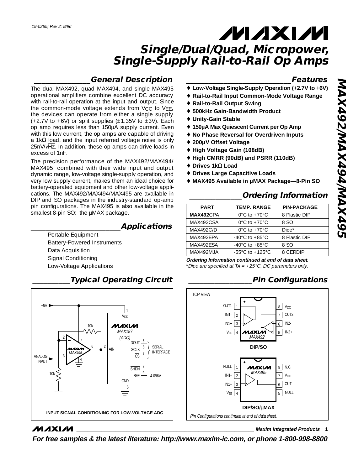# **MAXM Single/Dual/Quad, Micropower,**

# **Single-Supply Rail-to-Rail Op Amps**

## **\_\_\_\_\_\_\_\_\_\_\_\_\_\_\_General Description**

The dual MAX492, quad MAX494, and single MAX495 operational amplifiers combine excellent DC accuracy with rail-to-rail operation at the input and output. Since the common-mode voltage extends from V<sub>CC</sub> to VEE, the devices can operate from either a single supply (+2.7V to +6V) or split supplies ( $\pm$ 1.35V to  $\pm$ 3V). Each op amp requires less than 150µA supply current. Even with this low current, the op amps are capable of driving a 1kΩ load, and the input referred voltage noise is only 25nV/√Hz. In addition, these op amps can drive loads in excess of 1nF.

The precision performance of the MAX492/MAX494/ MAX495, combined with their wide input and output dynamic range, low-voltage single-supply operation, and very low supply current, makes them an ideal choice for battery-operated equipment and other low-voltage applications. The MAX492/MAX494/MAX495 are available in DIP and SO packages in the industry-standard op-amp pin configurations. The MAX495 is also available in the smallest 8-pin SO: the µMAX package.

## **\_\_\_\_\_\_\_\_\_\_\_\_\_\_\_\_\_\_\_\_\_\_\_\_Applications**

Portable Equipment Battery-Powered Instruments Data Acquisition Signal Conditioning Low-Voltage Applications

## **\_\_\_\_\_\_\_\_\_\_Typical Operating Circuit**



## **MAXM**

**\_\_\_\_\_\_\_\_\_\_\_\_\_\_\_\_\_\_\_\_\_\_\_\_\_\_\_\_Features**

- Low-Voltage Single-Supply Operation (+2.7V to +6V)
- ♦ **Rail-to-Rail Input Common-Mode Voltage Range**
- ♦ **Rail-to-Rail Output Swing**
- ♦ **500kHz Gain-Bandwidth Product**
- ♦ **Unity-Gain Stable**
- ♦ **150µA Max Quiescent Current per Op Amp**
- ♦ **No Phase Reversal for Overdriven Inputs**
- ♦ **200µV Offset Voltage**
- ♦ **High Voltage Gain (108dB)**
- ♦ **High CMRR (90dB) and PSRR (110dB)**
- ♦ **Drives 1k**Ω **Load**
- ♦ **Drives Large Capacitive Loads**
- ♦ **MAX495 Available in µMAX Package—8-Pin SO**

## **\_\_\_\_\_\_\_\_\_\_\_\_\_\_Ordering Information**

| <b>PART</b>      | <b>TEMP, RANGE</b>                  | <b>PIN-PACKAGE</b> |
|------------------|-------------------------------------|--------------------|
| MAX492CPA        | $0^{\circ}$ C to +70 $^{\circ}$ C   | 8 Plastic DIP      |
| MAX492CSA        | $0^{\circ}$ C to +70 $^{\circ}$ C   | 8.SO               |
| <b>MAX492C/D</b> | $0^{\circ}$ C to +70 $^{\circ}$ C   | $Dice*$            |
| MAX492FPA        | $-40^{\circ}$ C to $+85^{\circ}$ C  | 8 Plastic DIP      |
| MAX492FSA        | $-40^{\circ}$ C to $+85^{\circ}$ C  | 8.SO               |
| MAX492MJA        | $-55^{\circ}$ C to $+125^{\circ}$ C | 8 CERDIP           |
|                  |                                     |                    |

**Ordering Information continued at end of data sheet.**

\*Dice are specified at TA =  $+25^{\circ}$ C, DC parameters only.

## **\_\_\_\_\_\_\_\_\_\_\_\_\_\_\_\_\_Pin Configurations**



**\_\_\_\_\_\_\_\_\_\_\_\_\_\_\_\_\_\_\_\_\_\_\_\_\_\_\_\_\_\_\_\_\_\_\_\_\_\_\_\_\_\_\_\_\_\_\_\_\_\_\_\_\_\_\_\_\_\_\_\_\_\_\_\_ Maxim Integrated Products 1**

**For free samples & the latest literature: http://www.maxim-ic.com, or phone 1-800-998-8800**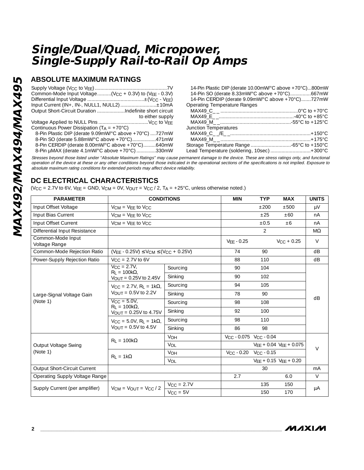## **ABSOLUTE MAXIMUM RATINGS**

|                                                                           | 14-Pin Plastic DIP (derate 10.00mW/°C above +70°C)800mW |
|---------------------------------------------------------------------------|---------------------------------------------------------|
| Common-Mode Input Voltage( $V_{CC}$ + 0.3V) to ( $V_{FF}$ - 0.3V)         | 14-Pin SO (derate 8.33mW/°C above +70°C)667mW           |
|                                                                           | 14-Pin CERDIP (derate 9.09mW/°C above +70°C)727mW       |
| Input Current (IN+, IN-, NULL1, NULL2)±10mA                               | Operating Temperature Ranges                            |
| Output Short-Circuit Duration Indefinite short circuit                    |                                                         |
| to either supply                                                          |                                                         |
|                                                                           |                                                         |
| Continuous Power Dissipation ( $T_A = +70^{\circ}$ C)                     | Junction Temperatures                                   |
| 8-Pin Plastic DIP (derate 9.09mW/°C above +70°C) 727mW                    |                                                         |
| 8-Pin SO (derate 5.88mW/°C above +70°C)471mW                              |                                                         |
| 8-Pin CERDIP (derate 8.00mW/°C above +70°C)640mW                          |                                                         |
| 8-Pin $\mu$ MAX (derate 4.1mW/ $^{\circ}$ C above +70 $^{\circ}$ C) 330mW | Lead Temperature (soldering, 10sec)  +300°C             |

Stresses beyond those listed under "Absolute Maximum Ratings" may cause permanent damage to the device. These are stress ratings only, and functional operation of the device at these or any other conditions beyond those indicated in the operational sections of the specifications is not implied. Exposure to absolute maximum rating conditions for extended periods may affect device reliability.

## **DC ELECTRICAL CHARACTERISTICS**

(V<sub>CC</sub> = 2.7V to 6V, V<sub>EE</sub> = GND, V<sub>CM</sub> = 0V, V<sub>OUT</sub> = V<sub>CC</sub> / 2, T<sub>A</sub> = +25°C, unless otherwise noted.)

| <b>PARAMETER</b>                   | <b>CONDITIONS</b>                                                                        |                 | <b>MIN</b>                                     | <b>TYP</b>                              | <b>MAX</b>                      | <b>UNITS</b> |
|------------------------------------|------------------------------------------------------------------------------------------|-----------------|------------------------------------------------|-----------------------------------------|---------------------------------|--------------|
| Input Offset Voltage               | $V_{CM} = V_{EE}$ to $V_{CC}$                                                            |                 |                                                | ±200                                    | ±500                            | μV           |
| Input Bias Current                 | $V_{CM}$ = $V_{FF}$ to $V_{CC}$                                                          |                 |                                                | ±25                                     | ±60                             | nA           |
| Input Offset Current               | $VCM = VFF$ to $VCC$                                                                     |                 |                                                | $\pm 0.5$                               | ±6                              | nA           |
| Differential Input Resistance      |                                                                                          |                 |                                                | 2                                       |                                 | $M\Omega$    |
| Common-Mode Input<br>Voltage Range |                                                                                          |                 | $VFF - 0.25$                                   |                                         | $V_{CC}$ + 0.25                 | $\vee$       |
| Common-Mode Rejection Ratio        | $(VEE - 0.25V) \le VCM \le (VCC + 0.25V)$                                                |                 | 74                                             | 90                                      |                                 | dB           |
| Power-Supply Rejection Ratio       | $V_{CC} = 2.7V$ to 6V                                                                    |                 | 88                                             | 110                                     |                                 | dB           |
|                                    | $V_{\rm CC} = 2.7V$ ,<br>$R_1 = 100k\Omega$                                              | Sourcing        | 90                                             | 104                                     |                                 |              |
|                                    | $V_{\text{OUT}} = 0.25V$ to 2.45V                                                        | Sinking         | 90                                             | 102                                     |                                 |              |
|                                    | $V_{\rm CC} = 2.7V$ , R <sub>1</sub> = 1k $\Omega$ ,<br>$V_{\text{OUT}} = 0.5V$ to 2.2V  | Sourcing        | 94                                             | 105                                     |                                 |              |
| Large-Signal Voltage Gain          |                                                                                          | Sinking         | 78                                             | 90                                      |                                 |              |
| (Note 1)                           | $V_{\text{CC}} = 5.0 V$ ,<br>$R_1 = 100k\Omega$<br>$V_{\text{OUT}} = 0.25V$ to 4.75V     | Sourcing        | 98                                             | 108                                     |                                 | dB           |
|                                    |                                                                                          | Sinking         | 92                                             | 100                                     |                                 |              |
|                                    | $V_{\rm CC} = 5.0 V$ , R <sub>1</sub> = 1k $\Omega$ ,<br>$V_{\text{OUT}} = 0.5V$ to 4.5V | Sourcing        | 98                                             | 110                                     |                                 |              |
|                                    |                                                                                          | Sinking         | 86                                             | 98                                      |                                 |              |
|                                    | $R_1 = 100k\Omega$                                                                       | <b>VOH</b>      | V <sub>CC</sub> - 0.075 V <sub>CC</sub> - 0.04 |                                         |                                 |              |
| Output Voltage Swing               |                                                                                          | VOL             |                                                |                                         | $VEE + 0.04$ $VEE + 0.075$      | V            |
| (Note 1)                           | $R_1 = 1k\Omega$                                                                         | <b>VOH</b>      |                                                | $V_{\rm CC}$ - 0.20 $V_{\rm CC}$ - 0.15 |                                 |              |
|                                    |                                                                                          | VOL             |                                                |                                         | $V_{EE}$ + 0.15 $V_{EE}$ + 0.20 |              |
| Output Short-Circuit Current       |                                                                                          |                 |                                                | 30                                      |                                 | mA           |
| Operating Supply Voltage Range     |                                                                                          |                 | 2.7                                            |                                         | 6.0                             | $\vee$       |
|                                    |                                                                                          | $V_{CC} = 2.7V$ |                                                | 135                                     | 150                             |              |
| Supply Current (per amplifier)     | $V_{CM} = V_{OUT} = V_{CC} / 2$                                                          | $V_{CC} = 5V$   |                                                | 150                                     | 170                             | μA           |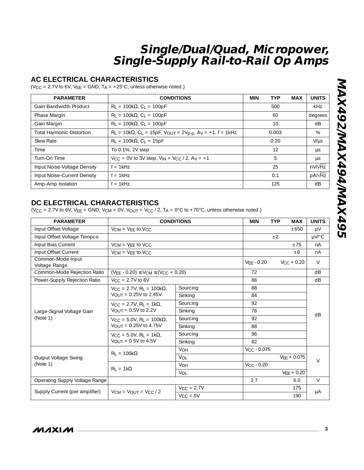### **AC ELECTRICAL CHARACTERISTICS**

( $V_{\text{CC}}$  = 2.7V to 6V,  $V_{\text{EE}}$  = GND, T<sub>A</sub> = +25°C, unless otherwise noted.)

| <b>PARAMETER</b>                 | <b>CONDITIONS</b>                                                                | <b>MIN</b><br><b>TYP</b><br><b>MAX</b> | <b>UNITS</b>   |
|----------------------------------|----------------------------------------------------------------------------------|----------------------------------------|----------------|
| Gain-Bandwidth Product           | $R_1 = 100k\Omega$ , $C_1 = 100pF$                                               | 500                                    | <b>kHz</b>     |
| Phase Margin                     | $R_1 = 100k\Omega$ , $C_1 = 100pF$                                               | 60                                     | degrees        |
| Gain Margin                      | $R_1 = 100k\Omega$ , $C_1 = 100pF$                                               | 10                                     | dB             |
| <b>Total Harmonic Distortion</b> | $R_L = 10k\Omega$ , $C_L = 15pF$ , $V_{OUT} = 2V_{p-p}$ , $Av = +1$ , $f = 1kHz$ | 0.003                                  | %              |
| Slew Rate                        | $R_L = 100k\Omega$ , $C_L = 15pF$                                                | 0.20                                   | $V/\mu s$      |
| Time                             | To 0.1%, 2V step                                                                 | 12                                     | μs             |
| Turn-On Time                     | $V_{CC} = 0V$ to 3V step, $V_{IN} = V_{CC}/2$ , $Av = +1$                        | 5                                      | μs             |
| Input Noise-Voltage Density      | $f = 1kHz$                                                                       | 25                                     | $nV/\sqrt{Hz}$ |
| Input Noise-Current Density      | $f = 1kHz$                                                                       | 0.1                                    | $pA/\sqrt{Hz}$ |
| Amp-Amp Isolation                | $f = 1kHz$                                                                       | 125                                    | dB             |

## **DC ELECTRICAL CHARACTERISTICS**

| $R_1 = 100k\Omega$ , C <sub>1</sub> = 100pF        |                                                                                                                                                                                        | 60                                                                                                                                                                                                                 |                                                                                                                                                                                    | degrees          |                                                         |  |
|----------------------------------------------------|----------------------------------------------------------------------------------------------------------------------------------------------------------------------------------------|--------------------------------------------------------------------------------------------------------------------------------------------------------------------------------------------------------------------|------------------------------------------------------------------------------------------------------------------------------------------------------------------------------------|------------------|---------------------------------------------------------|--|
| $R_L = 100k\Omega$ , $C_L = 100pF$                 |                                                                                                                                                                                        | 10                                                                                                                                                                                                                 |                                                                                                                                                                                    | dB               |                                                         |  |
|                                                    |                                                                                                                                                                                        | 0.003                                                                                                                                                                                                              |                                                                                                                                                                                    | %                |                                                         |  |
| $R_1 = 100k\Omega$ , C <sub>1</sub> = 15pF         |                                                                                                                                                                                        | 0.20                                                                                                                                                                                                               |                                                                                                                                                                                    | $V/\mu s$        |                                                         |  |
| To 0.1%, 2V step                                   |                                                                                                                                                                                        |                                                                                                                                                                                                                    | 12                                                                                                                                                                                 |                  | μs                                                      |  |
|                                                    |                                                                                                                                                                                        |                                                                                                                                                                                                                    | 5                                                                                                                                                                                  |                  | μs                                                      |  |
| $f = 1kHz$                                         |                                                                                                                                                                                        |                                                                                                                                                                                                                    | 25                                                                                                                                                                                 |                  | $nV/\sqrt{Hz}$                                          |  |
| $f = 1kHz$                                         |                                                                                                                                                                                        |                                                                                                                                                                                                                    | 0.1                                                                                                                                                                                |                  | $pA/\sqrt{Hz}$                                          |  |
| $f = 1kHz$                                         |                                                                                                                                                                                        |                                                                                                                                                                                                                    | 125                                                                                                                                                                                |                  | dB                                                      |  |
| DC ELECTRICAL CHARACTERISTICS                      |                                                                                                                                                                                        | <b>MIN</b>                                                                                                                                                                                                         | <b>TYP</b>                                                                                                                                                                         | MAX              | <b>UNITS</b>                                            |  |
| $V_{CM}$ = $V_{EE}$ to $V_{CC}$                    |                                                                                                                                                                                        |                                                                                                                                                                                                                    |                                                                                                                                                                                    | $\pm 650$        | μV                                                      |  |
|                                                    |                                                                                                                                                                                        | ±2                                                                                                                                                                                                                 |                                                                                                                                                                                    | µV/°C            |                                                         |  |
| $VCM = VFF$ to $VCC$                               |                                                                                                                                                                                        |                                                                                                                                                                                                                    | ±75                                                                                                                                                                                | nA               |                                                         |  |
|                                                    |                                                                                                                                                                                        |                                                                                                                                                                                                                    | ±6                                                                                                                                                                                 | nA               |                                                         |  |
|                                                    |                                                                                                                                                                                        | $VEE - 0.20$                                                                                                                                                                                                       |                                                                                                                                                                                    |                  | V                                                       |  |
| $(V_{EE} - 0.20) \leq V_{CM} \leq (V_{CC} + 0.20)$ |                                                                                                                                                                                        | 72                                                                                                                                                                                                                 |                                                                                                                                                                                    |                  | dB                                                      |  |
| $V_{CC} = 2.7V$ to 6V                              |                                                                                                                                                                                        | 86                                                                                                                                                                                                                 |                                                                                                                                                                                    |                  | dB                                                      |  |
| $V_{CC} = 2.7V$ , R <sub>L</sub> = 100k $\Omega$ , | Sourcing                                                                                                                                                                               | 88                                                                                                                                                                                                                 |                                                                                                                                                                                    |                  |                                                         |  |
| $V_{\text{OUT}} = 0.25V$ to 2.45V                  | Sinking                                                                                                                                                                                | 84                                                                                                                                                                                                                 |                                                                                                                                                                                    |                  |                                                         |  |
| $V_{\text{CC}} = 2.7V, R_1 = 1k\Omega$             | Sourcing                                                                                                                                                                               | 92                                                                                                                                                                                                                 |                                                                                                                                                                                    |                  |                                                         |  |
|                                                    | Sinking                                                                                                                                                                                | 76                                                                                                                                                                                                                 |                                                                                                                                                                                    |                  | dB                                                      |  |
| $V_{CC} = 5.0V$ , $R_L = 100k\Omega$ ,             | Sourcing                                                                                                                                                                               | 92                                                                                                                                                                                                                 |                                                                                                                                                                                    |                  |                                                         |  |
|                                                    | Sinking                                                                                                                                                                                | 88                                                                                                                                                                                                                 |                                                                                                                                                                                    |                  |                                                         |  |
| $V_{CC} = 5.0V$ , $R_L = 1k\Omega$ ,               | Sourcing                                                                                                                                                                               | 96                                                                                                                                                                                                                 |                                                                                                                                                                                    |                  |                                                         |  |
| $V_{OUT} = 0.5V$ to 4.5V                           | Sinking                                                                                                                                                                                | 82                                                                                                                                                                                                                 |                                                                                                                                                                                    |                  |                                                         |  |
|                                                    | VOH                                                                                                                                                                                    |                                                                                                                                                                                                                    |                                                                                                                                                                                    |                  |                                                         |  |
|                                                    | VOL                                                                                                                                                                                    |                                                                                                                                                                                                                    |                                                                                                                                                                                    |                  | $\vee$                                                  |  |
|                                                    | VOH                                                                                                                                                                                    | $V_{CC}$ - 0.20                                                                                                                                                                                                    |                                                                                                                                                                                    |                  |                                                         |  |
|                                                    | VOL                                                                                                                                                                                    |                                                                                                                                                                                                                    |                                                                                                                                                                                    |                  |                                                         |  |
|                                                    |                                                                                                                                                                                        |                                                                                                                                                                                                                    |                                                                                                                                                                                    | 6.0              | $\vee$                                                  |  |
|                                                    | $V_{CC} = 2.7V$                                                                                                                                                                        |                                                                                                                                                                                                                    |                                                                                                                                                                                    | 175              | μA                                                      |  |
|                                                    |                                                                                                                                                                                        |                                                                                                                                                                                                                    |                                                                                                                                                                                    |                  |                                                         |  |
|                                                    | $V_{CM} = V_{EE}$ to $V_{CC}$<br>$V_{\text{OUT}} = 0.5V$ to 2.2V<br>$V_{\text{OUT}} = 0.25V$ to 4.75V<br>$R_1 = 100k\Omega$<br>$R_1 = 1k\Omega$<br>$V_{CM}$ = $V_{OUT}$ = $V_{CC}$ / 2 | $R_L = 10k\Omega$ , C <sub>L</sub> = 15pF, V <sub>OUT</sub> = 2V <sub>p-p</sub> , A <sub>V</sub> = +1, f = 1kHz<br>$V_{CC} = 0V$ to 3V step, $V_{IN} = V_{CC}/2$ , $Av = +1$<br><b>CONDITIONS</b><br>$V_{CC} = 5V$ | (V <sub>CC</sub> = 2.7V to 6V, V <sub>EE</sub> = GND, V <sub>CM</sub> = 0V, V <sub>OUT</sub> = V <sub>CC</sub> / 2, T <sub>A</sub> = 0°C to +70°C, unless otherwise noted.)<br>2.7 | $V_{CC} - 0.075$ | $V_{CC}$ + 0.20<br>$VEE + 0.075$<br>$VEE + 0.20$<br>190 |  |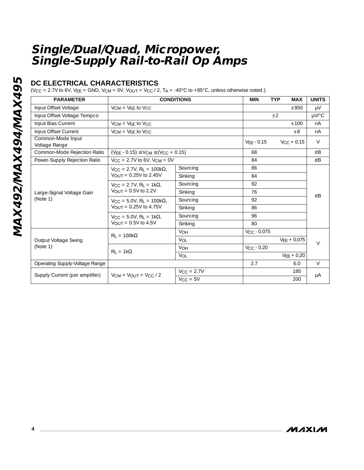## **DC ELECTRICAL CHARACTERISTICS**

(V<sub>CC</sub> = 2.7V to 6V, V<sub>EE</sub> = GND, V<sub>CM</sub> = 0V, V<sub>OUT</sub> = V<sub>CC</sub> / 2, T<sub>A</sub> = -40°C to +85°C, unless otherwise noted.)

| <b>PARAMETER</b>                   | <b>CONDITIONS</b>                                                                              | <b>MIN</b>      | <b>TYP</b>           | <b>MAX</b>      | <b>UNITS</b>  |            |  |
|------------------------------------|------------------------------------------------------------------------------------------------|-----------------|----------------------|-----------------|---------------|------------|--|
| Input Offset Voltage               | $V_{CM}$ = $V_{FF}$ to $V_{CC}$                                                                |                 |                      | ±950            | μV            |            |  |
| Input Offset Voltage Tempco        |                                                                                                |                 |                      | ±2              |               | $\mu$ V/°C |  |
| Input Bias Current                 | $VCM = VFF$ to $VCC$                                                                           |                 |                      |                 | ±100          | nA         |  |
| Input Offset Current               | $V_{CM}$ = $V_{FF}$ to $V_{CC}$                                                                |                 |                      |                 | $\pm 8$       | nA         |  |
| Common-Mode Input<br>Voltage Range |                                                                                                | $VFF - 0.15$    |                      | $V_{CC}$ + 0.15 | $\vee$        |            |  |
| Common-Mode Rejection Ratio        | $(VEE - 0.15) \leq VCM \leq (VCC + 0.15)$                                                      |                 | 68                   |                 |               | dB         |  |
| Power-Supply Rejection Ratio       | $V_{\text{CC}} = 2.7V$ to 6V, $V_{\text{CM}} = 0V$                                             |                 | 84                   |                 |               | dB         |  |
|                                    | $V_{\text{CC}} = 2.7V$ , R <sub>1</sub> = 100k $\Omega$ ,<br>$V_{\text{OUT}} = 0.25V$ to 2.45V | Sourcing        | 86                   |                 |               |            |  |
|                                    |                                                                                                | Sinking         | 84                   |                 |               |            |  |
|                                    | $V_{CC} = 2.7V$ , $R_L = 1k\Omega$ ,<br>VOUT = $0.5V$ to 2.2V                                  | Sourcing        | 92                   |                 |               |            |  |
| Large-Signal Voltage Gain          |                                                                                                | Sinking         | 76                   |                 |               | dB         |  |
| (Note 1)                           | $V_{\text{CC}} = 5.0V$ , R <sub>1</sub> = 100k $\Omega$ ,<br>$V_{\text{OUT}} = 0.25V$ to 4.75V | Sourcing        | 92                   |                 |               |            |  |
|                                    |                                                                                                | Sinking         | 86                   |                 |               |            |  |
|                                    | $V_{\text{CC}} = 5.0V$ , R <sub>1</sub> = 1k $\Omega$ ,<br>$V_{\text{OUT}} = 0.5V$ to 4.5V     | Sourcing        | 96                   |                 |               |            |  |
|                                    |                                                                                                | Sinking         | 80                   |                 |               |            |  |
|                                    | $R_1 = 100k\Omega$                                                                             | <b>VOH</b>      | $V_{\rm CC}$ - 0.075 |                 |               |            |  |
| Output Voltage Swing<br>(Note 1)   |                                                                                                | VOL             |                      |                 | $VEE + 0.075$ | $\vee$     |  |
|                                    | $R_1 = 1k\Omega$                                                                               | <b>VOH</b>      | $V_{CC} - 0.20$      |                 |               |            |  |
|                                    |                                                                                                | VOL             |                      |                 | $VFF + 0.20$  |            |  |
| Operating Supply-Voltage Range     |                                                                                                |                 | 2.7                  |                 | 6.0           | $\vee$     |  |
|                                    | $VCM = VOUT = VCC/2$                                                                           | $V_{CC} = 2.7V$ |                      |                 | 185           |            |  |
| Supply Current (per amplifier)     |                                                                                                | $V_{CC} = 5V$   |                      |                 | 200           | μA         |  |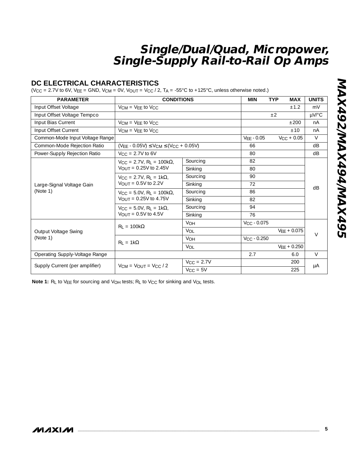## **DC ELECTRICAL CHARACTERISTICS**

(V<sub>CC</sub> = 2.7V to 6V, V<sub>EE</sub> = GND, V<sub>CM</sub> = 0V, V<sub>OUT</sub> = V<sub>CC</sub> / 2, T<sub>A</sub> = -55°C to +125°C, unless otherwise noted.)

| <b>PARAMETER</b>                 | <b>CONDITIONS</b>                                                                              | <b>MIN</b>            | <b>TYP</b><br><b>MAX</b> | <b>UNITS</b>    |        |  |
|----------------------------------|------------------------------------------------------------------------------------------------|-----------------------|--------------------------|-----------------|--------|--|
| Input Offset Voltage             | $VCM = VFF$ to $VCC$                                                                           |                       | ±1.2                     | mV              |        |  |
| Input Offset Voltage Tempco      |                                                                                                |                       |                          | $+2$            | µV/°C  |  |
| Input Bias Current               | $V_{CM}$ = $V_{FF}$ to $V_{CC}$                                                                |                       |                          | ±200            | nA     |  |
| Input Offset Current             | $V_{CM}$ = $V_{FF}$ to $V_{CC}$                                                                |                       |                          | ±10             | nA     |  |
| Common-Mode Input Voltage Range  |                                                                                                |                       | $VEE - 0.05$             | $V_{CC}$ + 0.05 | $\vee$ |  |
| Common-Mode Rejection Ratio      | $(VFF - 0.05V) \le VCM \le (VCC + 0.05V)$                                                      |                       | 66                       |                 | dB     |  |
| Power-Supply Rejection Ratio     | $V_{\text{CC}} = 2.7V$ to 6V                                                                   |                       | 80                       |                 | dB     |  |
|                                  | $V_{CC} = 2.7V$ , R <sub>L</sub> = 100k $\Omega$ ,                                             | Sourcing              | 82                       |                 | dB     |  |
|                                  | $V_{\text{OUT}} = 0.25V$ to 2.45V                                                              | Sinking               | 80                       |                 |        |  |
|                                  | $V_{\rm CC} = 2.7V$ , R <sub>1</sub> = 1k $\Omega$ ,<br>$V_{\text{OUT}} = 0.5V$ to 2.2V        | Sourcing              | 90                       |                 |        |  |
| Large-Signal Voltage Gain        |                                                                                                | Sinking               | 72                       |                 |        |  |
| (Note 1)                         | $V_{\text{CC}} = 5.0V$ , R <sub>1</sub> = 100k $\Omega$ ,<br>$V_{\text{OUT}} = 0.25V$ to 4.75V | Sourcing              | 86                       |                 |        |  |
|                                  |                                                                                                | Sinking               | 82                       |                 |        |  |
|                                  | $V_{CC} = 5.0V$ , $R_L = 1k\Omega$ ,                                                           | Sourcing              | 94                       |                 |        |  |
|                                  | VOUT = $0.5V$ to 4.5V                                                                          | Sinking               | 76                       |                 |        |  |
|                                  | $R_1 = 100k\Omega$                                                                             | <b>VOH</b>            | $V_{CC} - 0.075$         |                 |        |  |
| Output Voltage Swing<br>(Note 1) |                                                                                                | VOL                   |                          | $VEE + 0.075$   | $\vee$ |  |
|                                  |                                                                                                | <b>V<sub>OH</sub></b> | $V_{\rm CC}$ - 0.250     |                 |        |  |
|                                  | $R_1 = 1k\Omega$                                                                               | VOL                   |                          | $VEE + 0.250$   |        |  |
| Operating Supply-Voltage Range   |                                                                                                |                       | 2.7                      | 6.0             | $\vee$ |  |
|                                  |                                                                                                | $V_{\rm CC}$ = 2.7V   |                          | 200             |        |  |
| Supply Current (per amplifier)   | $V_{CM}$ = $V_{OUIT}$ = $V_{CC}$ / 2                                                           | $V_{CC} = 5V$         |                          | 225             | μA     |  |

Note 1: RL to V<sub>EE</sub> for sourcing and V<sub>OH</sub> tests; RL to V<sub>CC</sub> for sinking and V<sub>OL</sub> tests.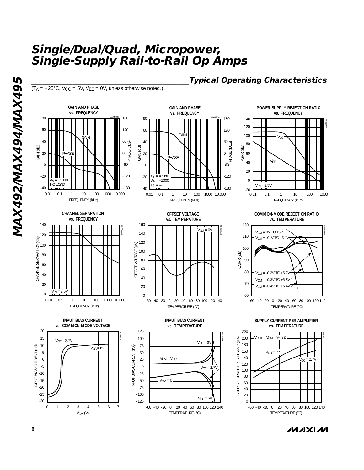$(T_A = +25^{\circ}C, V_{CC} = 5V, V_{EE} = 0V,$  unless otherwise noted.)





**OFFSET VOLTAGE** 

**POWER-SUPPLY REJECTION RATIO vs. FREQUENCY**

**\_\_\_\_\_\_\_\_\_\_\_\_\_\_\_\_\_\_\_\_\_\_\_\_\_\_\_\_\_\_\_\_\_\_\_\_\_\_\_\_\_\_Typical Operating Characteristics**



**CHANNEL SEPARATION vs. FREQUENCY**



**vs. TEMPERATURE** 160 160<br>140<br>120<br>100<br>80<br>60<br>40<br>20<br>0 MAX492-05  $V_{CM} = 0V$ 140 120 OFFSET VOLTAGE (µV) OFFSET VOLTAGE (µV) 100 80 60 40 20  $\Omega$ -60 -40 -20 0 20 40 60 80 100 120 140 TEMPERATURE ( °C)

**COMMON-MODE REJECTION RATIO** 



**SUPPLY CURRENT PER AMPLIFIER vs. TEMPERATURE**







**INPUT BIAS CURRENT vs. TEMPERATURE**



ハハメレハ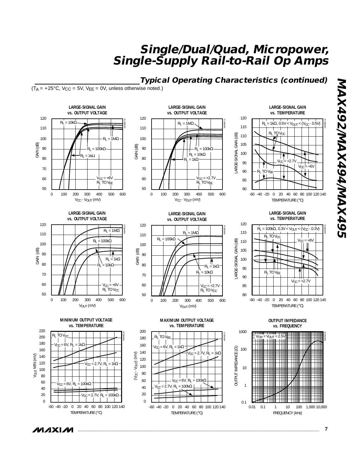## **\_\_\_\_\_\_\_\_\_\_\_\_\_\_\_\_\_\_\_\_\_\_\_\_\_\_\_\_Typical Operating Characteristics (continued)**

LARGE-SIGNAL GAIN (dB)

ARGE-SIGNAL

GAIN (dB)

 $(T_A = +25^{\circ}C, V_{CC} = 5V, V_{EE} = 0V,$  unless otherwise noted.)



MAX492-11  $R_L$  = 1ΜΩ  $\vert$  $-R<sub>1</sub> = 100k\Omega$  $R_L = 10kΩ$ <br>= 1kΩ  $V_{CC} = +2.7V$ RL TO V<sub>EE</sub> 200 500 0 100 300 400 600  $V_{CC}$  -  $V_{OUT}$  (mV)

**LARGE-SIGNAL GAIN vs. OUTPUT VOLTAGE**

120 80 -60 -40 -20 0 20 40 60 80 100 120 140 **vs. TEMPERATURE** 90 110 MAX492-12 TEMPERATURE ( °C) 100 85 95 105 115 R<sub>L</sub> TO V<sub>CC</sub> RI TO VFF  $\frac{E}{L}$   $\frac{1}{N}$   $\frac{1}{N}$   $\frac{1}{N}$   $\frac{1}{N}$   $\frac{1}{N}$  $R_L = 1kΩ$ , 0.5V < V<sub>OUT</sub> < (V<sub>CC</sub> - 0.5V)  $V_{CC}$  = +2.7V  $V_{CC}$  = +6V

**LARGE-SIGNAL GAIN** 

**LARGE-SIGNAL GAIN vs. OUTPUT VOLTAGE**



120 110 MAX492-14 60 100 80 V<sub>OUT</sub> (mV) 500 **vs. OUTPUT VOLTAGE** 100 90 70 50  $R_L = 100k\Omega$ <br>  $R_L = 10k\Omega$ <br>  $R_L = 10k\Omega$ <br>  $V_{CC} = +2.7V$ <br>  $R_L$  TO  $V_{CC}$ <br>
0 100 200 300 400 500 600

**LARGE-SIGNAL GAIN** 

GAIN (dB)









**OUTPUT IMPEDANCE vs. FREQUENCY**



**G6tXVINIt6tXVINIZ6tXVIN MAX492/MAX494/MAX495**

/VI/IXI/VI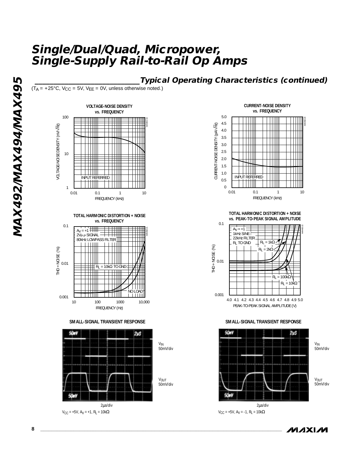## **\_\_\_\_\_\_\_\_\_\_\_\_\_\_\_\_\_\_\_\_\_\_\_\_\_\_\_\_Typical Operating Characteristics (continued)**

 $(T_A = +25^{\circ}C, V_{CC} = 5V, V_{EE} = 0V,$  unless otherwise noted.)



**TOTAL HARMONIC DISTORTION + NOISE vs. FREQUENCY**



**SMALL-SIGNAL TRANSIENT RESPONSE**





**TOTAL HARMONIC DISTORTION + NOISE vs. PEAK-TO-PEAK SIGNAL AMPLITUDE**



**SMALL-SIGNAL TRANSIENT RESPONSE**



ハハメレハ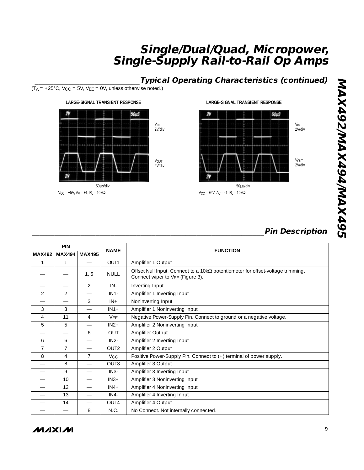## **\_\_\_\_\_\_\_\_\_\_\_\_\_\_\_\_\_\_\_\_\_\_\_\_\_\_\_\_Typical Operating Characteristics (continued)**

 $(T_A = +25^{\circ}C, V_{CC} = 5V, V_{EE} = 0V,$  unless otherwise noted.)



 $V_{CC}$  = +5V, A<sub>V</sub> = +1, R<sub>L</sub> = 10kΩ

#### **LARGE-SIGNAL TRANSIENT RESPONSE**



 $V_{CC}$  = +5V, A<sub>V</sub> = -1, R<sub>L</sub> = 10kΩ

## **\_\_\_\_\_\_\_\_\_\_\_\_\_\_\_\_\_\_\_\_\_\_\_\_\_\_\_\_\_\_\_\_\_\_\_\_\_\_\_\_\_\_\_\_\_\_\_\_\_\_\_\_\_\_\_\_\_\_\_\_\_\_Pin Description**

| <b>PIN</b>     |                |                |                       |                                                                                                                             |  | <b>FUNCTION</b> |
|----------------|----------------|----------------|-----------------------|-----------------------------------------------------------------------------------------------------------------------------|--|-----------------|
| <b>MAX492</b>  | <b>MAX494</b>  | <b>MAX495</b>  | <b>NAME</b>           |                                                                                                                             |  |                 |
| 1              |                |                | OUT1                  | Amplifier 1 Output                                                                                                          |  |                 |
|                |                | 1, 5           | <b>NULL</b>           | Offset Null Input. Connect to a 10k $\Omega$ potentiometer for offset-voltage trimming.<br>Connect wiper to VEE (Figure 3). |  |                 |
|                |                | $\mathcal{L}$  | $IN -$                | Inverting Input                                                                                                             |  |                 |
| $\overline{2}$ | $\overline{2}$ |                | $IN1-$                | Amplifier 1 Inverting Input                                                                                                 |  |                 |
|                |                | 3              | $IN +$                | Noninverting Input                                                                                                          |  |                 |
| 3              | 3              |                | $IN1+$                | Amplifier 1 Noninverting Input                                                                                              |  |                 |
| $\overline{4}$ | 11             | $\overline{4}$ | <b>VEE</b>            | Negative Power-Supply Pin. Connect to ground or a negative voltage.                                                         |  |                 |
| 5              | 5              |                | $IN2+$                | Amplifier 2 Noninverting Input                                                                                              |  |                 |
|                |                | 6              | <b>OUT</b>            | Amplifier Output                                                                                                            |  |                 |
| 6              | 6              |                | $IN2-$                | Amplifier 2 Inverting Input                                                                                                 |  |                 |
| 7              | 7              |                | OUT <sub>2</sub>      | Amplifier 2 Output                                                                                                          |  |                 |
| 8              | $\overline{4}$ | $\overline{7}$ | <b>V<sub>CC</sub></b> | Positive Power-Supply Pin. Connect to (+) terminal of power supply.                                                         |  |                 |
|                | 8              |                | OUT3                  | Amplifier 3 Output                                                                                                          |  |                 |
|                | 9              |                | $IN3-$                | Amplifier 3 Inverting Input                                                                                                 |  |                 |
|                | 10             |                | $IN3+$                | Amplifier 3 Noninverting Input                                                                                              |  |                 |
|                | 12             |                | $IN4+$                | Amplifier 4 Noninverting Input                                                                                              |  |                 |
|                | 13             |                | $IN4-$                | Amplifier 4 Inverting Input                                                                                                 |  |                 |
|                | 14             |                | OUT4                  | Amplifier 4 Output                                                                                                          |  |                 |
|                |                | 8              | N.C.                  | No Connect. Not internally connected.                                                                                       |  |                 |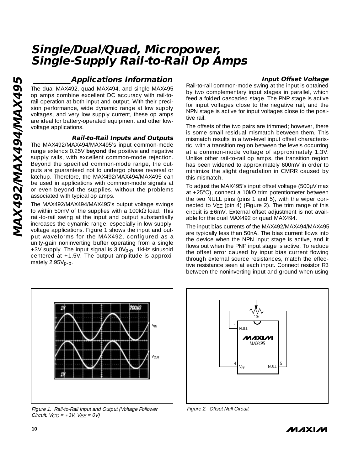# **MAXAMIAXAAZQAXAMMAX495 MAX492/MAX494/MAX495**

## **\_\_\_\_\_\_\_\_\_\_Applications Information**

The dual MAX492, quad MAX494, and single MAX495 op amps combine excellent DC accuracy with rail-torail operation at both input and output. With their precision performance, wide dynamic range at low supply voltages, and very low supply current, these op amps are ideal for battery-operated equipment and other lowvoltage applications.

#### **Rail-to-Rail Inputs and Outputs**

The MAX492/MAX494/MAX495's input common-mode range extends 0.25V **beyond** the positive and negative supply rails, with excellent common-mode rejection. Beyond the specified common-mode range, the outputs are guaranteed not to undergo phase reversal or latchup. Therefore, the MAX492/MAX494/MAX495 can be used in applications with common-mode signals at or even beyond the supplies, without the problems associated with typical op amps.

The MAX492/MAX494/MAX495's output voltage swings to within 50mV of the supplies with a 100kΩ load. This rail-to-rail swing at the input and output substantially increases the dynamic range, especially in low supplyvoltage applications. Figure 1 shows the input and output waveforms for the MAX492, configured as a unity-gain noninverting buffer operating from a single +3V supply. The input signal is 3.0Vp-p, 1kHz sinusoid centered at +1.5V. The output amplitude is approximately 2.95V<sub>p-p</sub>.

#### **Input Offset Voltage**

Rail-to-rail common-mode swing at the input is obtained by two complementary input stages in parallel, which feed a folded cascaded stage. The PNP stage is active for input voltages close to the negative rail, and the NPN stage is active for input voltages close to the positive rail.

The offsets of the two pairs are trimmed; however, there is some small residual mismatch between them. This mismatch results in a two-level input offset characteristic, with a transition region between the levels occurring at a common-mode voltage of approximately 1.3V. Unlike other rail-to-rail op amps, the transition region has been widened to approximately 600mV in order to minimize the slight degradation in CMRR caused by this mismatch.

To adjust the MAX495's input offset voltage (500µV max at +25°C), connect a 10k $\Omega$  trim potentiometer between the two NULL pins (pins 1 and 5), with the wiper connected to VEE (pin 4) (Figure 2). The trim range of this circuit is ±6mV. External offset adjustment is not available for the dual MAX492 or quad MAX494.

The input bias currents of the MAX492/MAX494/MAX495 are typically less than 50nA. The bias current flows into the device when the NPN input stage is active, and it flows out when the PNP input stage is active. To reduce the offset error caused by input bias current flowing through external source resistances, match the effective resistance seen at each input. Connect resistor R3 between the noninverting input and ground when using



Figure 1. Rail-to-Rail Input and Output (Voltage Follower Circuit,  $VCC = +3V$ ,  $VEE = OV$ 



Figure 2. Offset Null Circuit

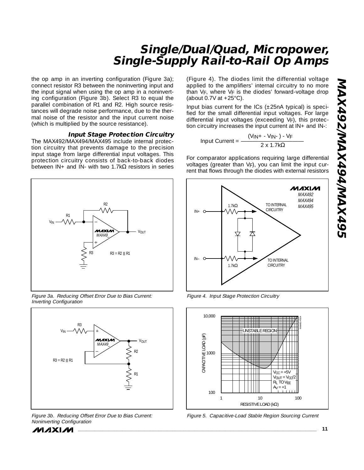the op amp in an inverting configuration (Figure 3a); connect resistor R3 between the noninverting input and the input signal when using the op amp in a noninverting configuration (Figure 3b). Select R3 to equal the parallel combination of R1 and R2. High source resistances will degrade noise performance, due to the thermal noise of the resistor and the input current noise (which is multiplied by the source resistance).

#### **Input Stage Protection Circuitry**

The MAX492/MAX494/MAX495 include internal protection circuitry that prevents damage to the precision input stage from large differential input voltages. This protection circuitry consists of back-to-back diodes between  $IN +$  and  $IN -$  with two 1.7k $\Omega$  resistors in series



Figure 3a. Reducing Offset Error Due to Bias Current: Inverting Configuration



Figure 3b. Reducing Offset Error Due to Bias Current: Noninverting Configuration



(Figure 4). The diodes limit the differential voltage applied to the amplifiers ' internal circuitry to no more than V F, where V F is the diodes ' forward-voltage drop (about 0.7V at  $+25^{\circ}$ C).

Input bias current for the ICs  $(\pm 25nA$  typical) is specified for the small differential input voltages. For large differential input voltages (exceeding V F), this protection circuitry increases the input current at IN+ and IN-:

 $Input Current = \frac{(V_{IN} + -V_{IN} -) - V_{F}}{2 \times 1.7k\Omega}$ 

For comparator applications requiring large differential voltages (greater than V F), you can limit the input current that flows through the diodes with external resistors



Figure 4. Input Stage Protection Circuitry



Figure 5. Capacitive-Load Stable Region Sourcing Current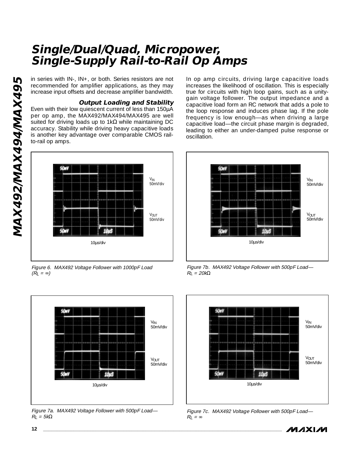in series with IN-, IN+, or both. Series resistors are not recommended for amplifier applications, as they may increase input offsets and decrease amplifier bandwidth.

#### **Output Loading and Stability**

Even with their low quiescent current of less than 150µA per op amp, the MAX492/MAX494/MAX495 are well suited for driving loads up to 1k $\Omega$  while maintaining DC accuracy. Stability while driving heavy capacitive loads is another key advantage over comparable CMOS railto-rail op amps.



Figure 6. MAX492 Voltage Follower with 1000pF Load  $(R_L = \infty)$ 



Figure 7a. MAX492 Voltage Follower with 500pF Load—  $R_l = 5k\Omega$ 

In op amp circuits, driving large capacitive loads increases the likelihood of oscillation. This is especially true for circuits with high loop gains, such as a unitygain voltage follower. The output impedance and a capacitive load form an RC network that adds a pole to the loop response and induces phase lag. If the pole frequency is low enough—as when driving a large capacitive load—the circuit phase margin is degraded, leading to either an under-damped pulse response or oscillation.



Figure 7b. MAX492 Voltage Follower with 500pF Load—  $R_l = 20k\Omega$ 



Figure 7c. MAX492 Voltage Follower with 500pF Load—  $R_L = \infty$ 

**MAXM**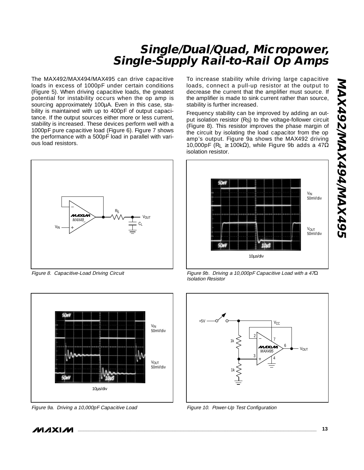The MAX492/MAX494/MAX495 can drive capacitive loads in excess of 1000pF under certain conditions (Figure 5). When driving capacitive loads, the greatest potential for instability occurs when the op amp is sourcing approximately 100µA. Even in this case, stability is maintained with up to 400pF of output capacitance. If the output sources either more or less current, stability is increased. These devices perform well with a 1000pF pure capacitive load (Figure 6). Figure 7 shows the performance with a 500pF load in parallel with various load resistors.



Figure 8. Capacitive-Load Driving Circuit



Figure 9a. Driving a 10,000pF Capacitive Load

To increase stability while driving large capacitive loads, connect a pull-up resistor at the output to decrease the current that the amplifier must source. If the amplifier is made to sink current rather than source, stability is further increased.

Frequency stability can be improved by adding an output isolation resistor (RS) to the voltage-follower circuit (Figure 8). This resistor improves the phase margin of the circuit by isolating the load capacitor from the op amp's output. Figure 9a shows the MAX492 driving 10,000pF (R<sub>L</sub>  $\geq$  100kΩ), while Figure 9b adds a 47Ω isolation resistor.



Figure 9b. Driving a 10,000pF Capacitive Load with a 47Ω Isolation Resistor



Figure 10. Power-Up Test Configuration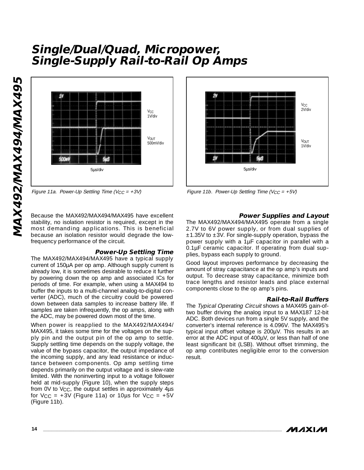

Figure 11a. Power-Up Settling Time (V<sub>CC</sub> = +3V) Figure 11b. Power-Up Settling Time (V<sub>CC</sub> = +5V)

stability, no isolation resistor is required, except in the most demanding applications. This is beneficial because an isolation resistor would degrade the lowfrequency performance of the circuit.

#### **Power-Up Settling Time**

The MAX492/MAX494/MAX495 have a typical supply current of 150µA per op amp. Although supply current is already low, it is sometimes desirable to reduce it further by powering down the op amp and associated ICs for periods of time. For example, when using a MAX494 to buffer the inputs to a multi-channel analog-to-digital converter (ADC), much of the circuitry could be powered down between data samples to increase battery life. If samples are taken infrequently, the op amps, along with the ADC, may be powered down most of the time.

When power is reapplied to the MAX492/MAX494/ MAX495, it takes some time for the voltages on the supply pin and the output pin of the op amp to settle. Supply settling time depends on the supply voltage, the value of the bypass capacitor, the output impedance of the incoming supply, and any lead resistance or inductance between components. Op amp settling time depends primarily on the output voltage and is slew-rate limited. With the noninverting input to a voltage follower held at mid-supply (Figure 10), when the supply steps from OV to  $V_{CC}$ , the output settles in approximately  $4\mu s$ for  $VCC = +3V$  (Figure 11a) or 10us for  $VCC = +5V$ (Figure 11b). **14**<br> **14 14**<br> **14**<br> **14**<br> **14**<br> **14**<br> **14**<br> **14**<br> **14**<br> **14**<br> **14**<br> **14**<br> **14**<br> **14**<br> **14**<br> **14**<br> **14**<br> **14**<br> **14**<br> **14**<br> **14**<br> **14**<br> **14**<br> **14**<br> **14**<br> **14**<br> **14**<br> **14**<br> **14**<br> **14**<br> **14**<br> **14**<br> **14**<br> **14**<br> **14**<br> **14**<br>



#### **Power Supplies and Layout**

The MAX492/MAX494/MAX495 operate from a single 2.7V to 6V power supply, or from dual supplies of  $±1.35V$  to  $±3V$ . For single-supply operation, bypass the power supply with a 1µF capacitor in parallel with a 0.1µF ceramic capacitor. If operating from dual supplies, bypass each supply to ground.

Good layout improves performance by decreasing the amount of stray capacitance at the op amp's inputs and output. To decrease stray capacitance, minimize both trace lengths and resistor leads and place external components close to the op amp's pins.

#### **Rail-to-Rail Buffers**

The Typical Operating Circuit shows a MAX495 gain-oftwo buffer driving the analog input to a MAX187 12-bit ADC. Both devices run from a single 5V supply, and the converter's internal reference is 4.096V. The MAX495's typical input offset voltage is 200µV. This results in an error at the ADC input of 400µV, or less than half of one least significant bit (LSB). Without offset trimming, the op amp contributes negligible error to the conversion result.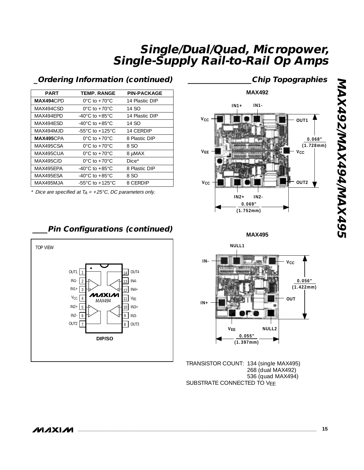| <b>PART</b>      | <b>TEMP. RANGE</b>                   | <b>PIN-PACKAGE</b> |
|------------------|--------------------------------------|--------------------|
| MAX494CPD        | $0^{\circ}$ C to +70 $^{\circ}$ C    | 14 Plastic DIP     |
| MAX494CSD        | $0^{\circ}$ C to $+70^{\circ}$ C     | 14 SO              |
| MAX494EPD        | $-40^{\circ}$ C to $+85^{\circ}$ C   | 14 Plastic DIP     |
| MAX494ESD        | $-40^{\circ}$ C to $+85^{\circ}$ C   | 14 SO              |
| MAX494MJD        | $-55^{\circ}$ C to $+125^{\circ}$ C. | 14 CERDIP          |
| MAX495CPA        | $0^{\circ}$ C to +70 $^{\circ}$ C    | 8 Plastic DIP      |
| MAX495C.SA       | $0^{\circ}$ C to +70 $^{\circ}$ C    | 8 SO               |
| MAX495CUA        | $0^{\circ}$ C to +70 $^{\circ}$ C    | 8 µMAX             |
| <b>MAX495C/D</b> | $0^{\circ}$ C to +70 $^{\circ}$ C    | $Dice*$            |
| MAX495FPA        | $-40^{\circ}$ C to $+85^{\circ}$ C   | 8 Plastic DIP      |
| MAX495ESA        | $-40^{\circ}$ C to $+85^{\circ}$ C   | 8 SO               |
| MAX495MJA        | -55°C to +125°C                      | 8 CERDIP           |
|                  |                                      |                    |

## **\_Ordering Information (continued)**

\* Dice are specified at  $T_A = +25\degree C$ , DC parameters only.

## **\_\_\_\_Pin Configurations (continued)**



## **\_\_\_\_\_\_\_\_\_\_\_\_\_\_\_\_\_Chip Topographies**



**MAX495**



TRANSISTOR COUNT: 134 (single MAX495) 268 (dual MAX492) 536 (quad MAX494) SUBSTRATE CONNECTED TO VEE